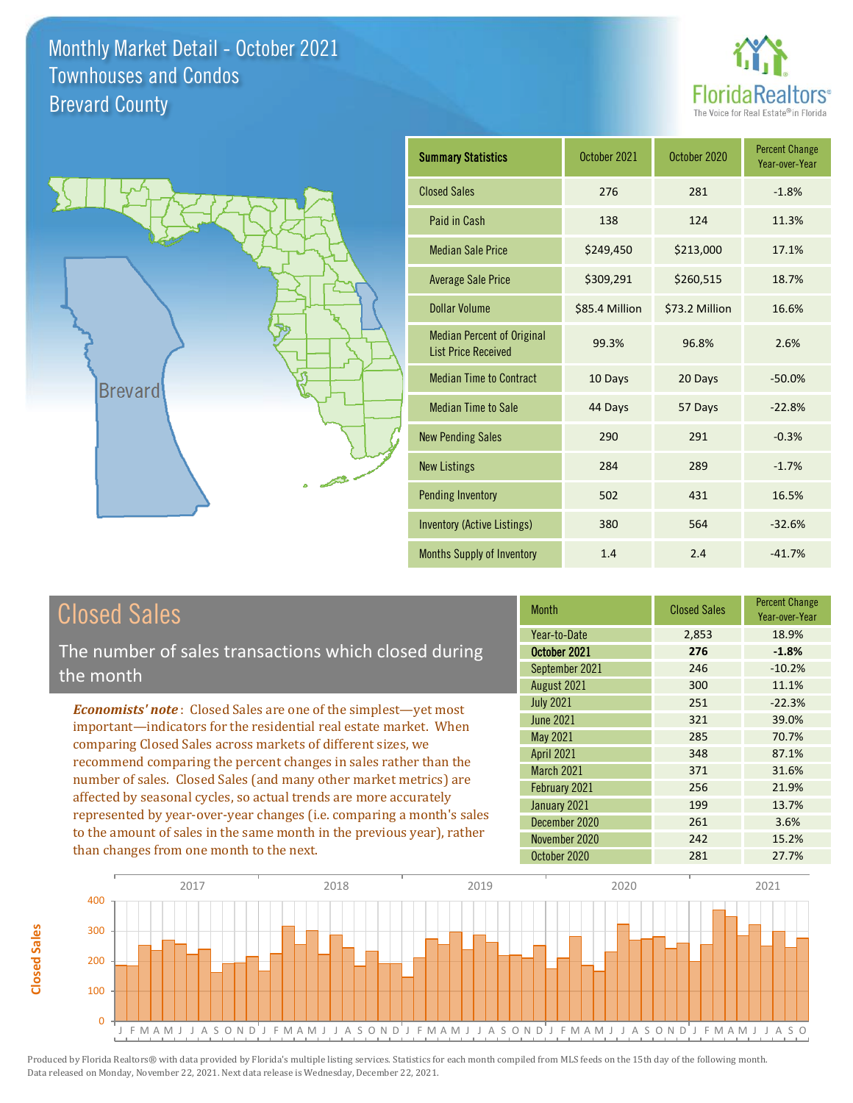



| <b>Summary Statistics</b>                                       | October 2021   | October 2020   | <b>Percent Change</b><br>Year-over-Year |
|-----------------------------------------------------------------|----------------|----------------|-----------------------------------------|
| <b>Closed Sales</b>                                             | 276            | 281            | $-1.8%$                                 |
| Paid in Cash                                                    | 138            | 124            | 11.3%                                   |
| <b>Median Sale Price</b>                                        | \$249,450      | \$213,000      | 17.1%                                   |
| <b>Average Sale Price</b>                                       | \$309,291      | \$260,515      | 18.7%                                   |
| Dollar Volume                                                   | \$85.4 Million | \$73.2 Million | 16.6%                                   |
| <b>Median Percent of Original</b><br><b>List Price Received</b> | 99.3%          | 96.8%          | 2.6%                                    |
| <b>Median Time to Contract</b>                                  | 10 Days        | 20 Days        | $-50.0%$                                |
| <b>Median Time to Sale</b>                                      | 44 Days        | 57 Days        | $-22.8%$                                |
| <b>New Pending Sales</b>                                        | 290            | 291            | $-0.3%$                                 |
| <b>New Listings</b>                                             | 284            | 289            | $-1.7%$                                 |
| <b>Pending Inventory</b>                                        | 502            | 431            | 16.5%                                   |
| Inventory (Active Listings)                                     | 380            | 564            | $-32.6%$                                |
| Months Supply of Inventory                                      | 1.4            | 2.4            | $-41.7%$                                |

# Closed Sales

The number of sales transactions which closed during the month

*Economists' note* : Closed Sales are one of the simplest—yet most important—indicators for the residential real estate market. When comparing Closed Sales across markets of different sizes, we recommend comparing the percent changes in sales rather than the number of sales. Closed Sales (and many other market metrics) are affected by seasonal cycles, so actual trends are more accurately represented by year-over-year changes (i.e. comparing a month's sales to the amount of sales in the same month in the previous year), rather than changes from one month to the next.

| <b>Month</b>      | <b>Closed Sales</b> | <b>Percent Change</b><br>Year-over-Year |
|-------------------|---------------------|-----------------------------------------|
| Year-to-Date      | 2,853               | 18.9%                                   |
| October 2021      | 276                 | $-1.8%$                                 |
| September 2021    | 246                 | $-10.2%$                                |
| August 2021       | 300                 | 11.1%                                   |
| <b>July 2021</b>  | 251                 | $-22.3%$                                |
| <b>June 2021</b>  | 321                 | 39.0%                                   |
| May 2021          | 285                 | 70.7%                                   |
| <b>April 2021</b> | 348                 | 87.1%                                   |
| March 2021        | 371                 | 31.6%                                   |
| February 2021     | 256                 | 21.9%                                   |
| January 2021      | 199                 | 13.7%                                   |
| December 2020     | 261                 | 3.6%                                    |
| November 2020     | 242                 | 15.2%                                   |
| October 2020      | 281                 | 27.7%                                   |

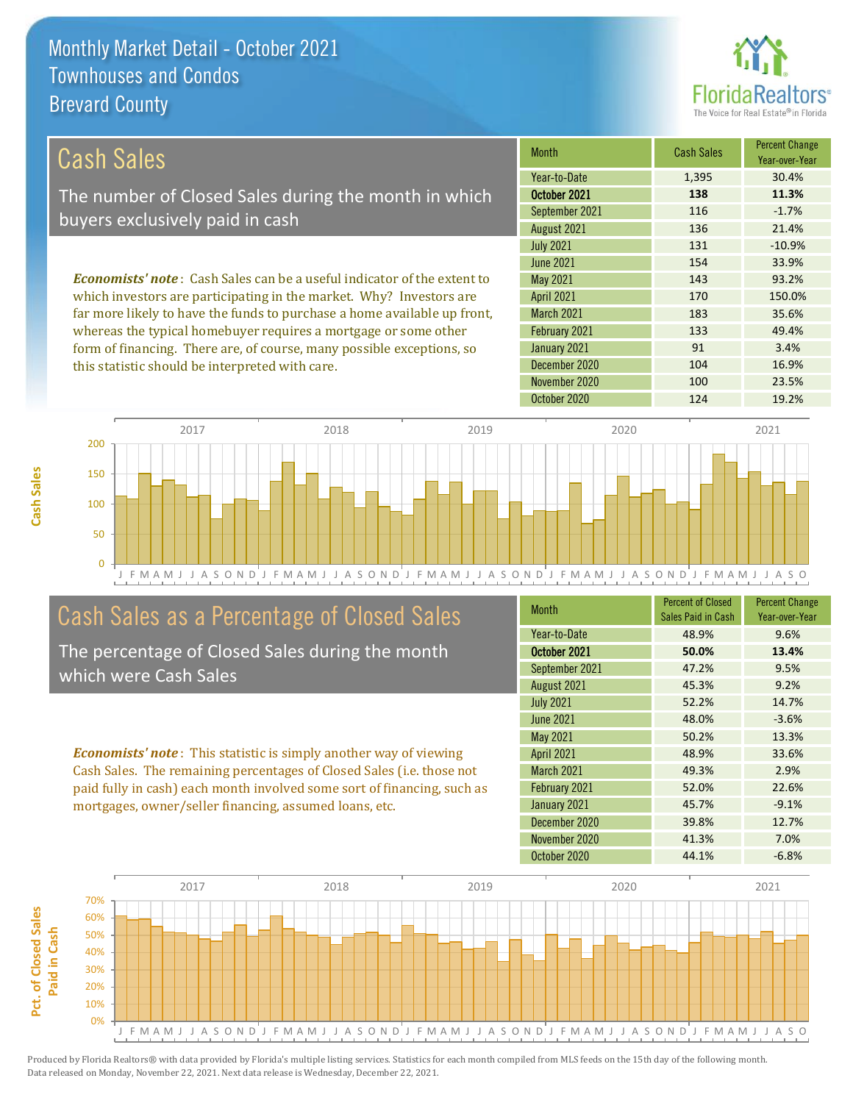this statistic should be interpreted with care.



104 16.9%

| Cash Sales                                                                     | <b>Month</b>      | <b>Cash Sales</b> | <b>Percent Change</b><br>Year-over-Year |
|--------------------------------------------------------------------------------|-------------------|-------------------|-----------------------------------------|
|                                                                                | Year-to-Date      | 1,395             | 30.4%                                   |
| The number of Closed Sales during the month in which                           | October 2021      | 138               | 11.3%                                   |
| buyers exclusively paid in cash                                                | September 2021    | 116               | $-1.7%$                                 |
|                                                                                | August 2021       | 136               | 21.4%                                   |
|                                                                                | <b>July 2021</b>  | 131               | $-10.9%$                                |
|                                                                                | June 2021         | 154               | 33.9%                                   |
| <b>Economists' note:</b> Cash Sales can be a useful indicator of the extent to | May 2021          | 143               | 93.2%                                   |
| which investors are participating in the market. Why? Investors are            | <b>April 2021</b> | 170               | 150.0%                                  |
| far more likely to have the funds to purchase a home available up front,       | <b>March 2021</b> | 183               | 35.6%                                   |
| whereas the typical homebuyer requires a mortgage or some other                | February 2021     | 133               | 49.4%                                   |
| form of financing. There are, of course, many possible exceptions, so          | January 2021      | 91                | 3.4%                                    |

December 2020

October 2020 124 19.2% J F M A M J J A S O N D J F M A M J J A S O N D J F M A M J J A S O N D J F M A M J J A S O N D J F M A M J J A S O 0 50 100 150 200 2017 2018 2019 2020 2021

## Cash Sales as a Percentage of Closed Sales

The percentage of Closed Sales during the month which were Cash Sales

*Economists' note* : This statistic is simply another way of viewing Cash Sales. The remaining percentages of Closed Sales (i.e. those not paid fully in cash) each month involved some sort of financing, such as mortgages, owner/seller financing, assumed loans, etc.

| <b>Month</b>      | <b>Percent of Closed</b><br>Sales Paid in Cash | <b>Percent Change</b><br>Year-over-Year |
|-------------------|------------------------------------------------|-----------------------------------------|
| Year-to-Date      | 48.9%                                          | 9.6%                                    |
| October 2021      | 50.0%                                          | 13.4%                                   |
| September 2021    | 47.2%                                          | 9.5%                                    |
| August 2021       | 45.3%                                          | 9.2%                                    |
| <b>July 2021</b>  | 52.2%                                          | 14.7%                                   |
| <b>June 2021</b>  | 48.0%                                          | $-3.6%$                                 |
| <b>May 2021</b>   | 50.2%                                          | 13.3%                                   |
| <b>April 2021</b> | 48.9%                                          | 33.6%                                   |
| March 2021        | 49.3%                                          | 2.9%                                    |
| February 2021     | 52.0%                                          | 22.6%                                   |
| January 2021      | 45.7%                                          | $-9.1%$                                 |
| December 2020     | 39.8%                                          | 12.7%                                   |
| November 2020     | 41.3%                                          | 7.0%                                    |
| October 2020      | 44.1%                                          | $-6.8%$                                 |

November 2020 100 100 23.5%



**Cash Sales**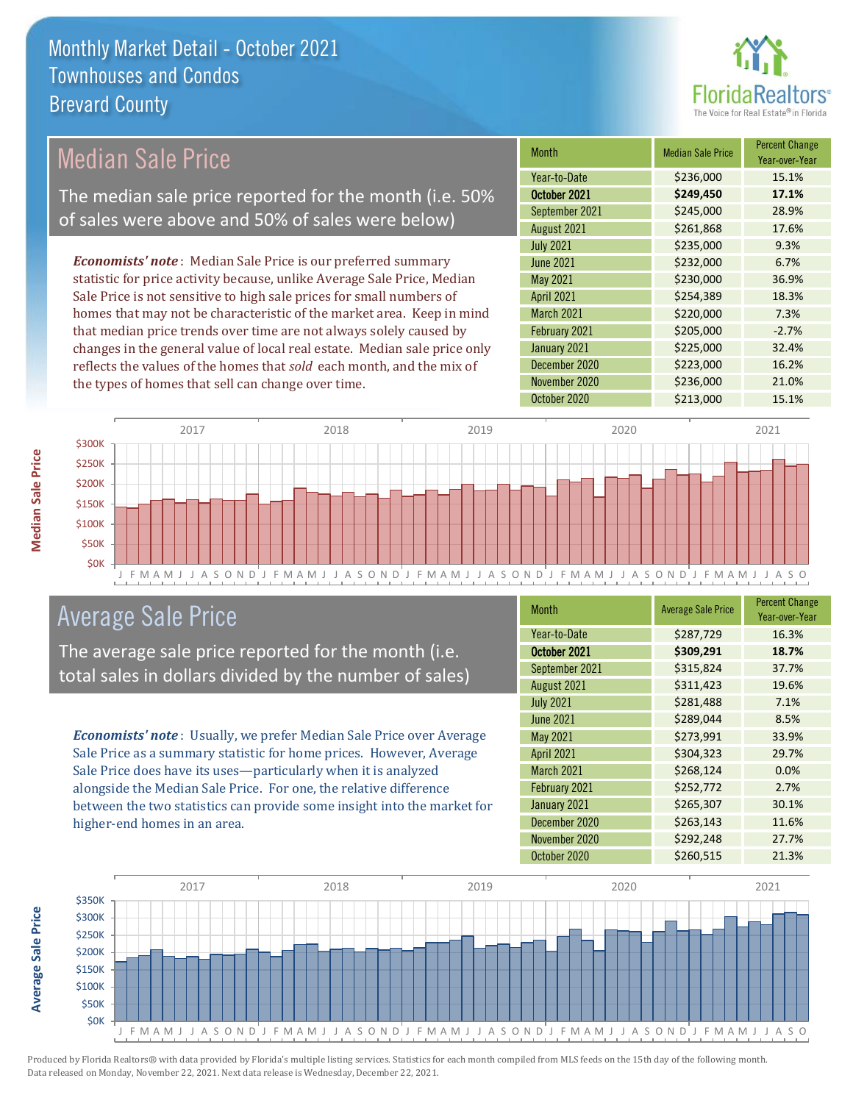

### Median Sale Price

The median sale price reported for the month (i.e. 50% of sales were above and 50% of sales were below)

*Economists' note* : Median Sale Price is our preferred summary statistic for price activity because, unlike Average Sale Price, Median Sale Price is not sensitive to high sale prices for small numbers of homes that may not be characteristic of the market area. Keep in mind that median price trends over time are not always solely caused by changes in the general value of local real estate. Median sale price only reflects the values of the homes that *sold* each month, and the mix of the types of homes that sell can change over time.

| <b>Month</b>     | <b>Median Sale Price</b> | <b>Percent Change</b><br>Year-over-Year |
|------------------|--------------------------|-----------------------------------------|
| Year-to-Date     | \$236,000                | 15.1%                                   |
| October 2021     | \$249,450                | 17.1%                                   |
| September 2021   | \$245,000                | 28.9%                                   |
| August 2021      | \$261,868                | 17.6%                                   |
| <b>July 2021</b> | \$235,000                | 9.3%                                    |
| <b>June 2021</b> | \$232,000                | 6.7%                                    |
| May 2021         | \$230,000                | 36.9%                                   |
| April 2021       | \$254,389                | 18.3%                                   |
| March 2021       | \$220,000                | 7.3%                                    |
| February 2021    | \$205,000                | $-2.7%$                                 |
| January 2021     | \$225,000                | 32.4%                                   |
| December 2020    | \$223,000                | 16.2%                                   |
| November 2020    | \$236,000                | 21.0%                                   |
| October 2020     | \$213,000                | 15.1%                                   |



### Average Sale Price

The average sale price reported for the month (i.e. total sales in dollars divided by the number of sales)

*Economists' note* : Usually, we prefer Median Sale Price over Average Sale Price as a summary statistic for home prices. However, Average Sale Price does have its uses—particularly when it is analyzed alongside the Median Sale Price. For one, the relative difference between the two statistics can provide some insight into the market for higher-end homes in an area.

| <b>Month</b>      | <b>Average Sale Price</b> | <b>Percent Change</b><br>Year-over-Year |
|-------------------|---------------------------|-----------------------------------------|
| Year-to-Date      | \$287,729                 | 16.3%                                   |
| October 2021      | \$309,291                 | 18.7%                                   |
| September 2021    | \$315,824                 | 37.7%                                   |
| August 2021       | \$311,423                 | 19.6%                                   |
| <b>July 2021</b>  | \$281,488                 | 7.1%                                    |
| <b>June 2021</b>  | \$289,044                 | 8.5%                                    |
| May 2021          | \$273,991                 | 33.9%                                   |
| <b>April 2021</b> | \$304,323                 | 29.7%                                   |
| March 2021        | \$268,124                 | 0.0%                                    |
| February 2021     | \$252,772                 | 2.7%                                    |
| January 2021      | \$265,307                 | 30.1%                                   |
| December 2020     | \$263,143                 | 11.6%                                   |
| November 2020     | \$292,248                 | 27.7%                                   |
| October 2020      | \$260,515                 | 21.3%                                   |



**Average Sale Price**

**Average Sale Price**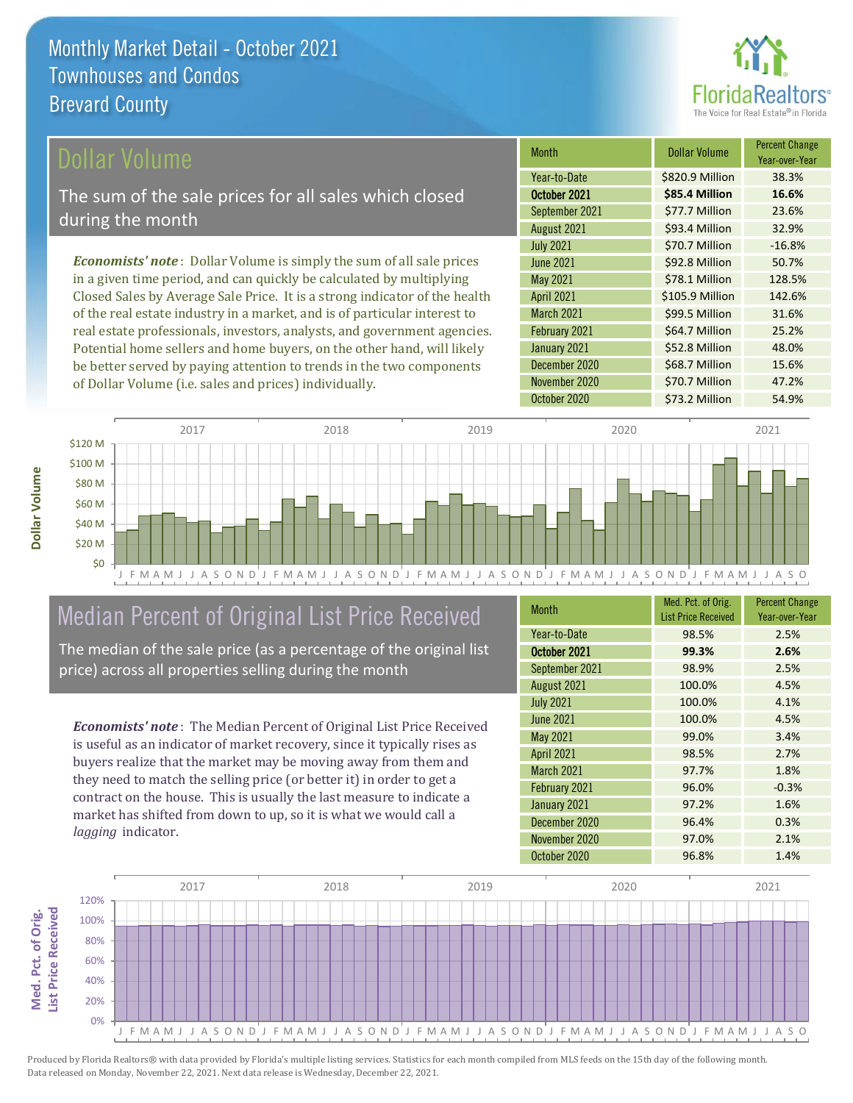

### ollar Volume

The sum of the sale prices for all sales which closed during the month

*Economists' note* : Dollar Volume is simply the sum of all sale prices in a given time period, and can quickly be calculated by multiplying Closed Sales by Average Sale Price. It is a strong indicator of the health of the real estate industry in a market, and is of particular interest to real estate professionals, investors, analysts, and government agencies. Potential home sellers and home buyers, on the other hand, will likely be better served by paying attention to trends in the two components of Dollar Volume (i.e. sales and prices) individually.

| <b>Month</b>      | <b>Dollar Volume</b> | <b>Percent Change</b><br>Year-over-Year |
|-------------------|----------------------|-----------------------------------------|
| Year-to-Date      | \$820.9 Million      | 38.3%                                   |
| October 2021      | \$85.4 Million       | 16.6%                                   |
| September 2021    | \$77.7 Million       | 23.6%                                   |
| August 2021       | \$93.4 Million       | 32.9%                                   |
| <b>July 2021</b>  | \$70.7 Million       | $-16.8%$                                |
| <b>June 2021</b>  | \$92.8 Million       | 50.7%                                   |
| May 2021          | \$78.1 Million       | 128.5%                                  |
| <b>April 2021</b> | \$105.9 Million      | 142.6%                                  |
| March 2021        | \$99.5 Million       | 31.6%                                   |
| February 2021     | \$64.7 Million       | 25.2%                                   |
| January 2021      | \$52.8 Million       | 48.0%                                   |
| December 2020     | \$68.7 Million       | 15.6%                                   |
| November 2020     | \$70.7 Million       | 47.2%                                   |
| October 2020      | \$73.2 Million       | 54.9%                                   |



# Median Percent of Original List Price Received

The median of the sale price (as a percentage of the original list price) across all properties selling during the month

*Economists' note* : The Median Percent of Original List Price Received is useful as an indicator of market recovery, since it typically rises as buyers realize that the market may be moving away from them and they need to match the selling price (or better it) in order to get a contract on the house. This is usually the last measure to indicate a market has shifted from down to up, so it is what we would call a *lagging* indicator.

| <b>Month</b>      | Med. Pct. of Orig.<br><b>List Price Received</b> | <b>Percent Change</b><br>Year-over-Year |
|-------------------|--------------------------------------------------|-----------------------------------------|
| Year-to-Date      | 98.5%                                            | 2.5%                                    |
| October 2021      | 99.3%                                            | 2.6%                                    |
| September 2021    | 98.9%                                            | 2.5%                                    |
| August 2021       | 100.0%                                           | 4.5%                                    |
| <b>July 2021</b>  | 100.0%                                           | 4.1%                                    |
| <b>June 2021</b>  | 100.0%                                           | 4.5%                                    |
| May 2021          | 99.0%                                            | 3.4%                                    |
| <b>April 2021</b> | 98.5%                                            | 2.7%                                    |
| March 2021        | 97.7%                                            | 1.8%                                    |
| February 2021     | 96.0%                                            | $-0.3%$                                 |
| January 2021      | 97.2%                                            | 1.6%                                    |
| December 2020     | 96.4%                                            | 0.3%                                    |
| November 2020     | 97.0%                                            | 2.1%                                    |
| October 2020      | 96.8%                                            | 1.4%                                    |



Produced by Florida Realtors® with data provided by Florida's multiple listing services. Statistics for each month compiled from MLS feeds on the 15th day of the following month. Data released on Monday, November 22, 2021. Next data release is Wednesday, December 22, 2021.

**Med. Pct. of Orig.** 

Med. Pct. of Orig.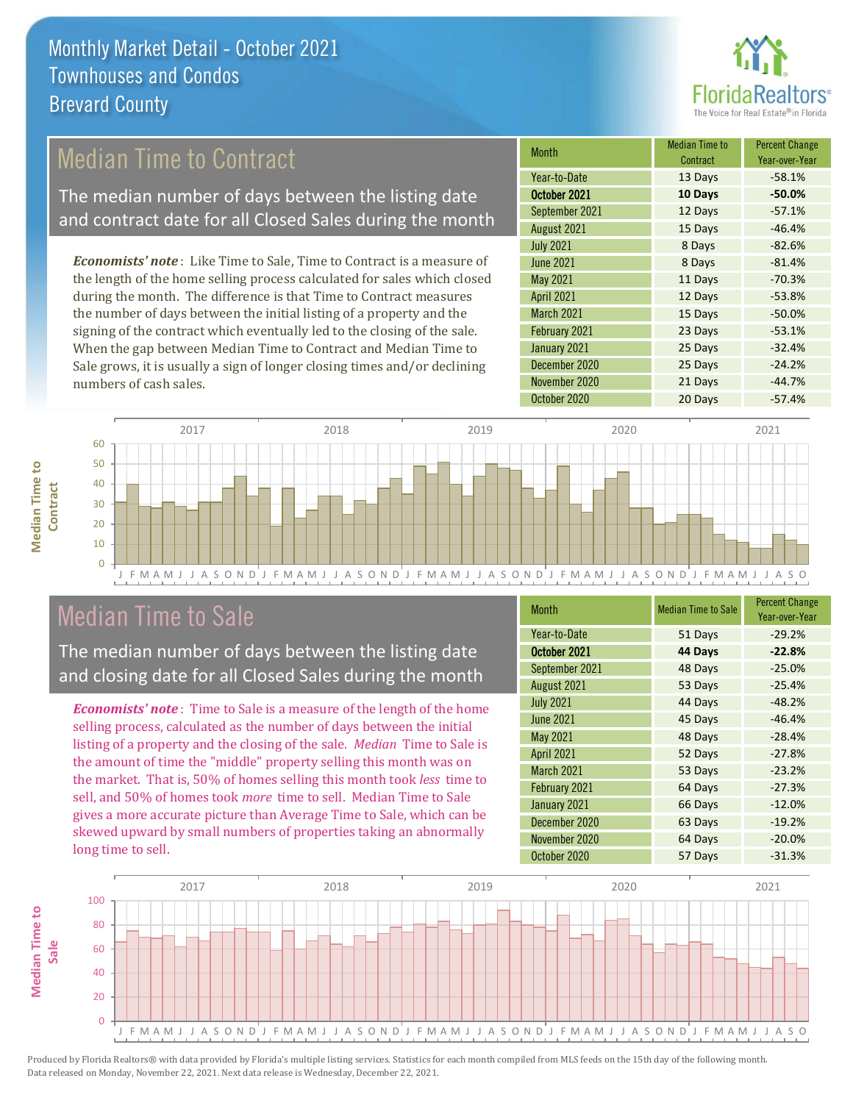

## Median Time to Contract

The median number of days between the listing date and contract date for all Closed Sales during the month

*Economists' note* : Like Time to Sale, Time to Contract is a measure of the length of the home selling process calculated for sales which closed during the month. The difference is that Time to Contract measures the number of days between the initial listing of a property and the signing of the contract which eventually led to the closing of the sale. When the gap between Median Time to Contract and Median Time to Sale grows, it is usually a sign of longer closing times and/or declining numbers of cash sales.

| Month             | Median Time to<br>Contract | <b>Percent Change</b><br>Year-over-Year |
|-------------------|----------------------------|-----------------------------------------|
| Year-to-Date      | 13 Days                    | $-58.1%$                                |
| October 2021      | 10 Days                    | $-50.0%$                                |
| September 2021    | 12 Days                    | $-57.1%$                                |
| August 2021       | 15 Days                    | $-46.4%$                                |
| <b>July 2021</b>  | 8 Days                     | $-82.6%$                                |
| <b>June 2021</b>  | 8 Days                     | $-81.4%$                                |
| <b>May 2021</b>   | 11 Days                    | $-70.3%$                                |
| <b>April 2021</b> | 12 Days                    | $-53.8%$                                |
| March 2021        | 15 Days                    | $-50.0%$                                |
| February 2021     | 23 Days                    | $-53.1%$                                |
| January 2021      | 25 Days                    | $-32.4%$                                |
| December 2020     | 25 Days                    | $-24.2%$                                |
| November 2020     | 21 Days                    | $-44.7%$                                |
| October 2020      | 20 Days                    | $-57.4%$                                |



### Median Time to Sale

**Median Time to Contract**

**Median Time to** 

The median number of days between the listing date and closing date for all Closed Sales during the month

*Economists' note* : Time to Sale is a measure of the length of the home selling process, calculated as the number of days between the initial listing of a property and the closing of the sale. *Median* Time to Sale is the amount of time the "middle" property selling this month was on the market. That is, 50% of homes selling this month took *less* time to sell, and 50% of homes took *more* time to sell. Median Time to Sale gives a more accurate picture than Average Time to Sale, which can be skewed upward by small numbers of properties taking an abnormally long time to sell.

| <b>Month</b>      | <b>Median Time to Sale</b> | <b>Percent Change</b><br>Year-over-Year |
|-------------------|----------------------------|-----------------------------------------|
| Year-to-Date      | 51 Days                    | $-29.2%$                                |
| October 2021      | 44 Days                    | $-22.8%$                                |
| September 2021    | 48 Days                    | $-25.0%$                                |
| August 2021       | 53 Days                    | $-25.4%$                                |
| <b>July 2021</b>  | 44 Days                    | $-48.2%$                                |
| June 2021         | 45 Days                    | $-46.4%$                                |
| <b>May 2021</b>   | 48 Days                    | $-28.4%$                                |
| <b>April 2021</b> | 52 Days                    | $-27.8%$                                |
| March 2021        | 53 Days                    | $-23.2%$                                |
| February 2021     | 64 Days                    | $-27.3%$                                |
| January 2021      | 66 Days                    | $-12.0%$                                |
| December 2020     | 63 Days                    | $-19.2%$                                |
| November 2020     | 64 Days                    | $-20.0%$                                |
| October 2020      | 57 Days                    | $-31.3%$                                |

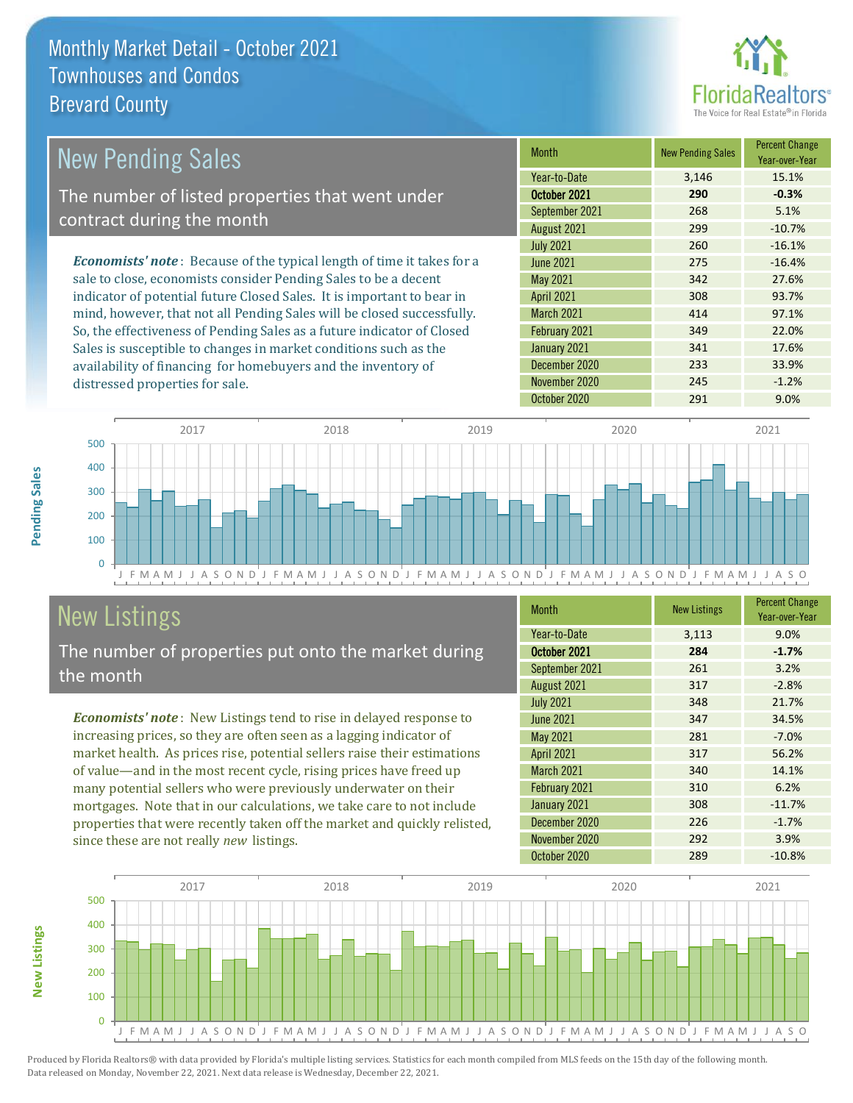

| New Pending Sales                                                              | <b>Month</b>      | <b>New Pending Sales</b> | <b>Percent Change</b><br>Year-over-Year |
|--------------------------------------------------------------------------------|-------------------|--------------------------|-----------------------------------------|
|                                                                                | Year-to-Date      | 3,146                    | 15.1%                                   |
| The number of listed properties that went under                                | October 2021      | 290                      | $-0.3%$                                 |
| contract during the month                                                      | September 2021    | 268                      | 5.1%                                    |
|                                                                                | August 2021       | 299                      | $-10.7%$                                |
|                                                                                | <b>July 2021</b>  | 260                      | $-16.1%$                                |
| <b>Economists' note</b> : Because of the typical length of time it takes for a | June 2021         | 275                      | $-16.4%$                                |
| sale to close, economists consider Pending Sales to be a decent                | May 2021          | 342                      | 27.6%                                   |
| indicator of potential future Closed Sales. It is important to bear in         | <b>April 2021</b> | 308                      | 93.7%                                   |
| mind, however, that not all Pending Sales will be closed successfully.         | <b>March 2021</b> | 414                      | 97.1%                                   |
| So, the effectiveness of Pending Sales as a future indicator of Closed         | February 2021     | 349                      | 22.0%                                   |
| Sales is susceptible to changes in market conditions such as the               | January 2021      | 341                      | 17.6%                                   |
| availability of financing for homebuyers and the inventory of                  | December 2020     | 233                      | 33.9%                                   |



# New Listings

distressed properties for sale.

The number of properties put onto the market during the month

*Economists' note* : New Listings tend to rise in delayed response to increasing prices, so they are often seen as a lagging indicator of market health. As prices rise, potential sellers raise their estimations of value—and in the most recent cycle, rising prices have freed up many potential sellers who were previously underwater on their mortgages. Note that in our calculations, we take care to not include properties that were recently taken off the market and quickly relisted, since these are not really *new* listings.

| <b>Month</b>      | <b>New Listings</b> | <b>Percent Change</b><br>Year-over-Year |
|-------------------|---------------------|-----------------------------------------|
| Year-to-Date      | 3,113               | 9.0%                                    |
| October 2021      | 284                 | $-1.7%$                                 |
| September 2021    | 261                 | 3.2%                                    |
| August 2021       | 317                 | $-2.8%$                                 |
| <b>July 2021</b>  | 348                 | 21.7%                                   |
| <b>June 2021</b>  | 347                 | 34.5%                                   |
| May 2021          | 281                 | $-7.0%$                                 |
| <b>April 2021</b> | 317                 | 56.2%                                   |
| <b>March 2021</b> | 340                 | 14.1%                                   |
| February 2021     | 310                 | 6.2%                                    |
| January 2021      | 308                 | $-11.7%$                                |
| December 2020     | 226                 | $-1.7%$                                 |
| November 2020     | 292                 | 3.9%                                    |
| October 2020      | 289                 | $-10.8%$                                |

November 2020 245 -1.2% October 2020 291 291 9.0%



Produced by Florida Realtors® with data provided by Florida's multiple listing services. Statistics for each month compiled from MLS feeds on the 15th day of the following month. Data released on Monday, November 22, 2021. Next data release is Wednesday, December 22, 2021.

**New Listings**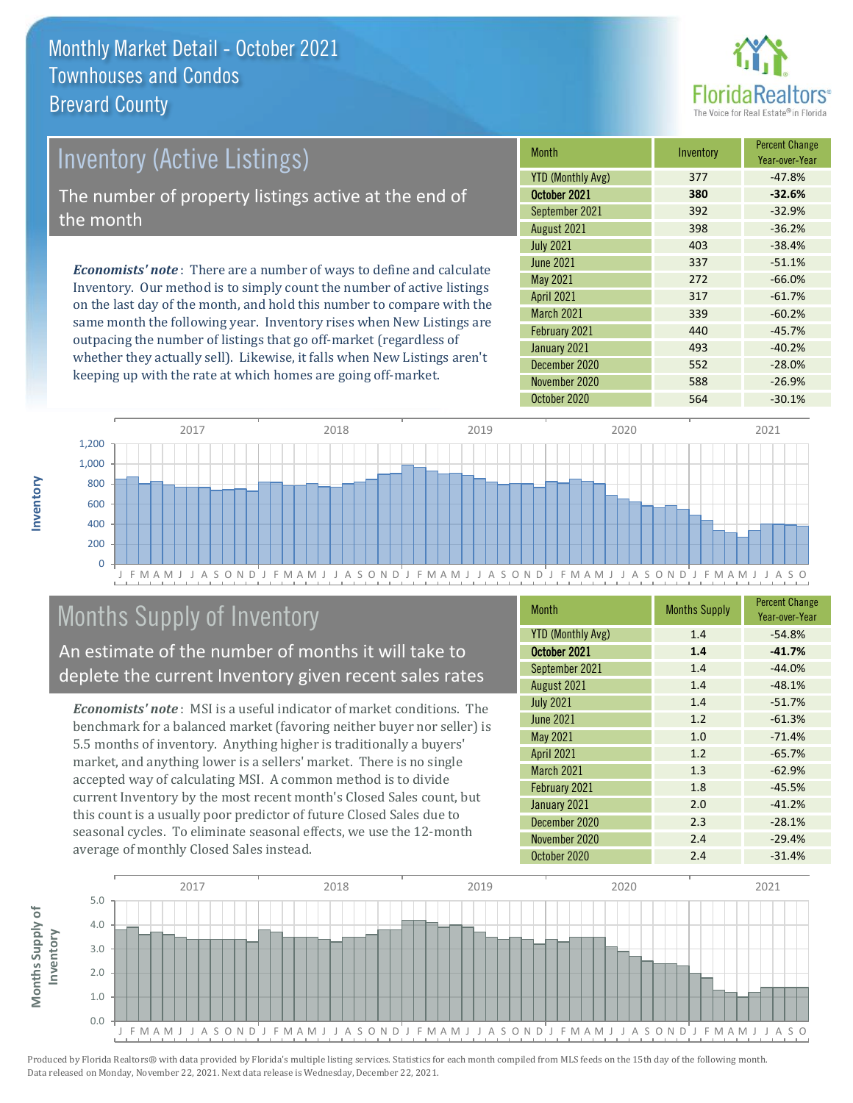

# *Economists' note* : There are a number of ways to define and calculate Inventory. Our method is to simply count the number of active listings Inventory (Active Listings) The number of property listings active at the end of the month

on the last day of the month, and hold this number to compare with the same month the following year. Inventory rises when New Listings are outpacing the number of listings that go off-market (regardless of whether they actually sell). Likewise, it falls when New Listings aren't keeping up with the rate at which homes are going off-market.

| Month                    | Inventory | <b>Percent Change</b><br>Year-over-Year |
|--------------------------|-----------|-----------------------------------------|
| <b>YTD (Monthly Avg)</b> | 377       | $-47.8%$                                |
| October 2021             | 380       | $-32.6%$                                |
| September 2021           | 392       | $-32.9%$                                |
| August 2021              | 398       | $-36.2%$                                |
| <b>July 2021</b>         | 403       | $-38.4%$                                |
| <b>June 2021</b>         | 337       | $-51.1%$                                |
| May 2021                 | 272       | $-66.0%$                                |
| April 2021               | 317       | $-61.7%$                                |
| <b>March 2021</b>        | 339       | $-60.2%$                                |
| February 2021            | 440       | $-45.7%$                                |
| January 2021             | 493       | $-40.2%$                                |
| December 2020            | 552       | $-28.0%$                                |
| November 2020            | 588       | $-26.9%$                                |
| October 2020             | 564       | $-30.1%$                                |



# Months Supply of Inventory

An estimate of the number of months it will take to deplete the current Inventory given recent sales rates

*Economists' note* : MSI is a useful indicator of market conditions. The benchmark for a balanced market (favoring neither buyer nor seller) is 5.5 months of inventory. Anything higher is traditionally a buyers' market, and anything lower is a sellers' market. There is no single accepted way of calculating MSI. A common method is to divide current Inventory by the most recent month's Closed Sales count, but this count is a usually poor predictor of future Closed Sales due to seasonal cycles. To eliminate seasonal effects, we use the 12-month average of monthly Closed Sales instead.

| <b>Month</b>             | <b>Months Supply</b> | <b>Percent Change</b><br>Year-over-Year |
|--------------------------|----------------------|-----------------------------------------|
| <b>YTD (Monthly Avg)</b> | 1.4                  | $-54.8%$                                |
| October 2021             | 1.4                  | $-41.7%$                                |
| September 2021           | 1.4                  | $-44.0%$                                |
| August 2021              | 1.4                  | $-48.1%$                                |
| <b>July 2021</b>         | 1.4                  | $-51.7%$                                |
| <b>June 2021</b>         | 1.2                  | $-61.3%$                                |
| May 2021                 | 1.0                  | $-71.4%$                                |
| <b>April 2021</b>        | 1.2                  | $-65.7%$                                |
| <b>March 2021</b>        | 1.3                  | $-62.9%$                                |
| February 2021            | 1.8                  | $-45.5%$                                |
| January 2021             | 2.0                  | $-41.2%$                                |
| December 2020            | 2.3                  | $-28.1%$                                |
| November 2020            | 2.4                  | $-29.4%$                                |
| October 2020             | 2.4                  | $-31.4%$                                |

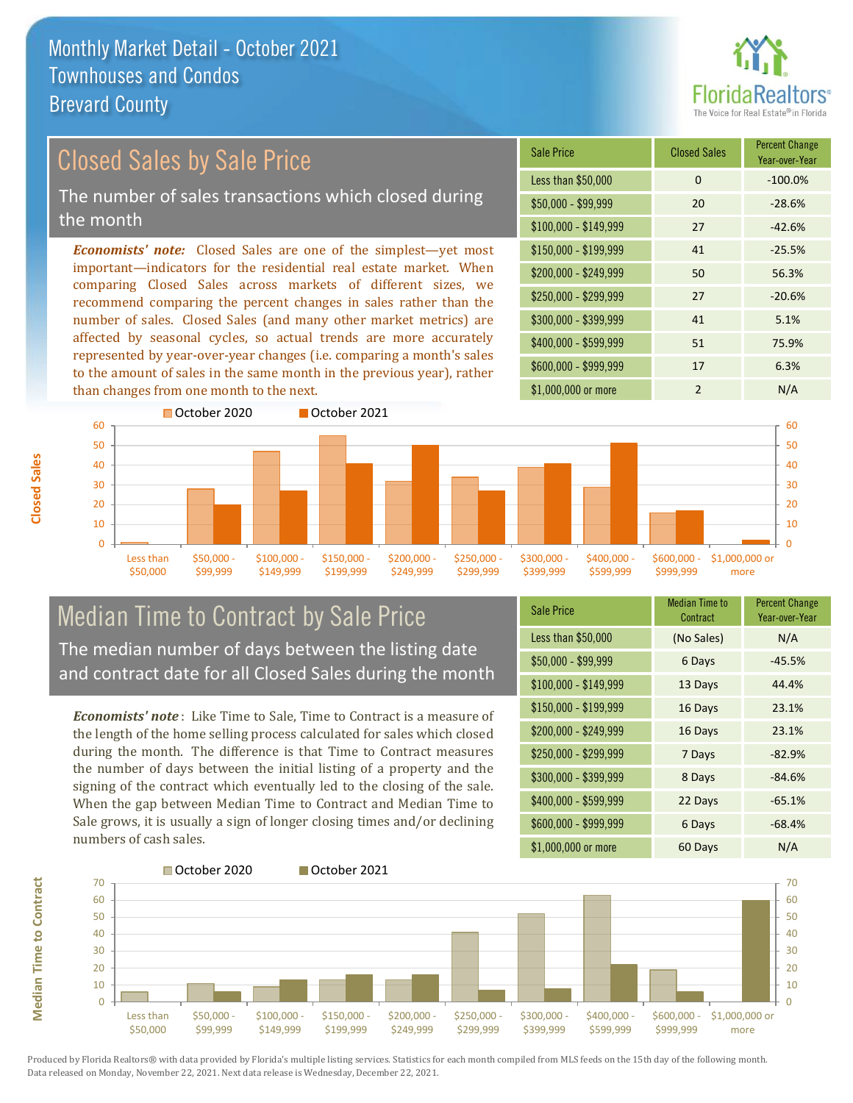

#### *Economists' note:* Closed Sales are one of the simplest—yet most important—indicators for the residential real estate market. When comparing Closed Sales across markets of different sizes, we recommend comparing the percent changes in sales rather than the number of sales. Closed Sales (and many other market metrics) are Closed Sales by Sale Price The number of sales transactions which closed during the month

affected by seasonal cycles, so actual trends are more accurately represented by year-over-year changes (i.e. comparing a month's sales to the amount of sales in the same month in the previous year), rather than changes from one month to the next.

| <b>Sale Price</b>     | <b>Closed Sales</b> | <b>Percent Change</b><br>Year-over-Year |
|-----------------------|---------------------|-----------------------------------------|
| Less than \$50,000    | $\Omega$            | $-100.0%$                               |
| \$50,000 - \$99,999   | 20                  | $-28.6%$                                |
| $$100,000 - $149,999$ | 27                  | $-42.6%$                                |
| \$150,000 - \$199,999 | 41                  | $-25.5%$                                |
| \$200,000 - \$249,999 | 50                  | 56.3%                                   |
| \$250,000 - \$299,999 | 27                  | $-20.6%$                                |
| \$300,000 - \$399,999 | 41                  | 5.1%                                    |
| \$400,000 - \$599,999 | 51                  | 75.9%                                   |
| \$600,000 - \$999,999 | 17                  | 6.3%                                    |
| \$1,000,000 or more   | $\overline{2}$      | N/A                                     |



### Median Time to Contract by Sale Price The median number of days between the listing date and contract date for all Closed Sales during the month

*Economists' note* : Like Time to Sale, Time to Contract is a measure of the length of the home selling process calculated for sales which closed during the month. The difference is that Time to Contract measures the number of days between the initial listing of a property and the signing of the contract which eventually led to the closing of the sale. When the gap between Median Time to Contract and Median Time to Sale grows, it is usually a sign of longer closing times and/or declining numbers of cash sales.

| <b>Sale Price</b>     | Median Time to<br>Contract | <b>Percent Change</b><br>Year-over-Year |
|-----------------------|----------------------------|-----------------------------------------|
| Less than \$50,000    | (No Sales)                 | N/A                                     |
| $$50,000 - $99,999$   | 6 Days                     | -45.5%                                  |
| $$100,000 - $149,999$ | 13 Days                    | 44.4%                                   |
| $$150,000 - $199,999$ | 16 Days                    | 23.1%                                   |
| \$200,000 - \$249,999 | 16 Days                    | 23.1%                                   |
| \$250,000 - \$299,999 | 7 Days                     | $-82.9%$                                |
| $$300,000 - $399,999$ | 8 Days                     | $-84.6%$                                |
| \$400,000 - \$599,999 | 22 Days                    | $-65.1%$                                |
| \$600,000 - \$999,999 | 6 Days                     | $-68.4%$                                |
| \$1,000,000 or more   | 60 Days                    | N/A                                     |



**Closed Sales**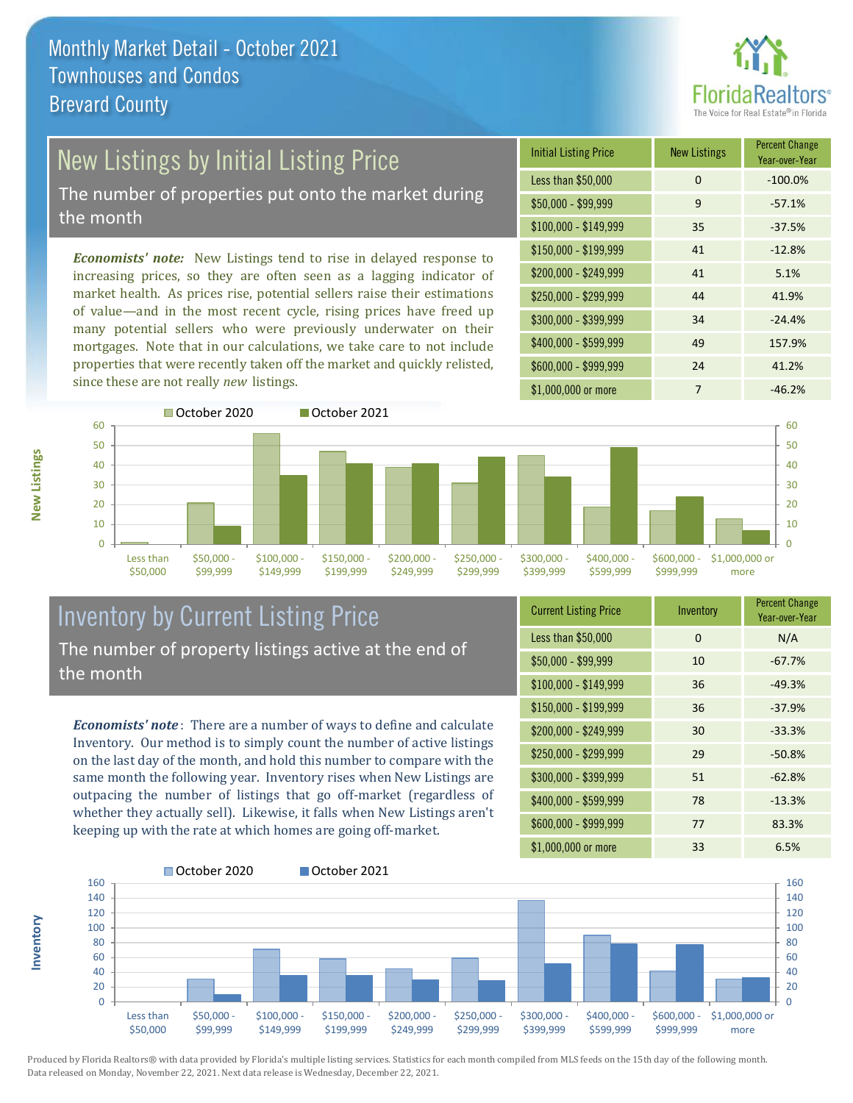

# New Listings by Initial Listing Price

The number of properties put onto the market during the month

*Economists' note:* New Listings tend to rise in delayed response to increasing prices, so they are often seen as a lagging indicator of market health. As prices rise, potential sellers raise their estimations of value—and in the most recent cycle, rising prices have freed up many potential sellers who were previously underwater on their mortgages. Note that in our calculations, we take care to not include properties that were recently taken off the market and quickly relisted, since these are not really *new* listings.





### Inventory by Current Listing Price The number of property listings active at the end of the month

*Economists' note* : There are a number of ways to define and calculate Inventory. Our method is to simply count the number of active listings on the last day of the month, and hold this number to compare with the same month the following year. Inventory rises when New Listings are outpacing the number of listings that go off-market (regardless of whether they actually sell). Likewise, it falls when New Listings aren't keeping up with the rate at which homes are going off-market.

| <b>Current Listing Price</b> | Inventory | <b>Percent Change</b><br>Year-over-Year |
|------------------------------|-----------|-----------------------------------------|
| Less than \$50,000           | $\Omega$  | N/A                                     |
| $$50,000 - $99,999$          | 10        | $-67.7%$                                |
| $$100,000 - $149,999$        | 36        | $-49.3%$                                |
| $$150,000 - $199,999$        | 36        | $-37.9%$                                |
| \$200,000 - \$249,999        | 30        | $-33.3%$                                |
| \$250,000 - \$299,999        | 29        | $-50.8%$                                |
| \$300,000 - \$399,999        | 51        | $-62.8%$                                |
| \$400,000 - \$599,999        | 78        | $-13.3%$                                |
| \$600,000 - \$999,999        | 77        | 83.3%                                   |
| \$1,000,000 or more          | 33        | 6.5%                                    |



Produced by Florida Realtors® with data provided by Florida's multiple listing services. Statistics for each month compiled from MLS feeds on the 15th day of the following month. Data released on Monday, November 22, 2021. Next data release is Wednesday, December 22, 2021.

**Inventory**